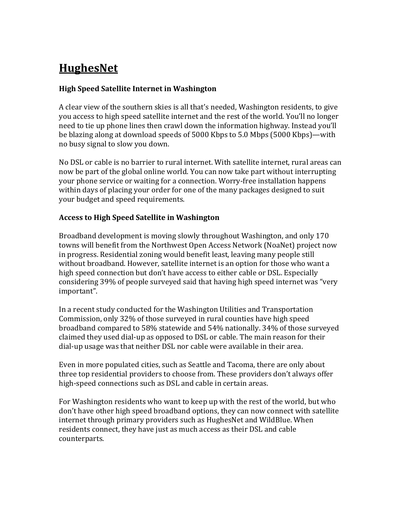# **HughesNet**

### **High Speed Satellite Internet in Washington**

A clear view of the southern skies is all that's needed, Washington residents, to give you access to high speed satellite internet and the rest of the world. You'll no longer need to tie up phone lines then crawl down the information highway. Instead you'll be blazing along at download speeds of 5000 Kbps to 5.0 Mbps (5000 Kbps)—with no busy signal to slow you down.

No DSL or cable is no barrier to rural internet. With satellite internet, rural areas can now be part of the global online world. You can now take part without interrupting your phone service or waiting for a connection. Worry-free installation happens within days of placing your order for one of the many packages designed to suit your budget and speed requirements.

#### **Access to High Speed Satellite in Washington**

Broadband development is moving slowly throughout Washington, and only 170 towns will benefit from the Northwest Open Access Network (NoaNet) project now in progress. Residential zoning would benefit least, leaving many people still without broadband. However, satellite internet is an option for those who want a high speed connection but don't have access to either cable or DSL. Especially considering 39% of people surveyed said that having high speed internet was "very important".

In a recent study conducted for the Washington Utilities and Transportation Commission, only 32% of those surveyed in rural counties have high speed broadband compared to 58% statewide and 54% nationally. 34% of those surveyed claimed they used dial-up as opposed to DSL or cable. The main reason for their dial-up usage was that neither DSL nor cable were available in their area.

Even in more populated cities, such as Seattle and Tacoma, there are only about three top residential providers to choose from. These providers don't always offer high-speed connections such as DSL and cable in certain areas.

For Washington residents who want to keep up with the rest of the world, but who don't have other high speed broadband options, they can now connect with satellite internet through primary providers such as HughesNet and WildBlue. When residents connect, they have just as much access as their DSL and cable counterparts.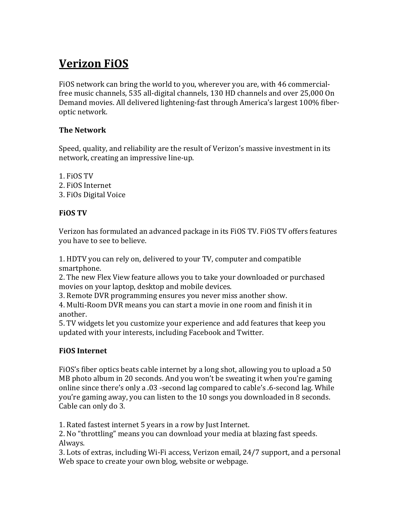# **Verizon FiOS**

FiOS network can bring the world to you, wherever you are, with 46 commercialfree music channels, 535 all-digital channels, 130 HD channels and over 25,000 On Demand movies. All delivered lightening-fast through America's largest 100% fiberoptic network.

### **The Network**

Speed, quality, and reliability are the result of Verizon's massive investment in its network, creating an impressive line-up.

1. FiOS TV 2. FiOS Internet 3. FiOs Digital Voice

## **FiOS TV**

Verizon has formulated an advanced package in its FiOS TV. FIOS TV offers features you have to see to believe.

1. HDTV you can rely on, delivered to your TV, computer and compatible smartphone. 

2. The new Flex View feature allows you to take your downloaded or purchased movies on your laptop, desktop and mobile devices.

3. Remote DVR programming ensures you never miss another show.

4. Multi-Room DVR means you can start a movie in one room and finish it in another.

5. TV widgets let you customize your experience and add features that keep you updated with your interests, including Facebook and Twitter.

## **FiOS Internet**

FiOS's fiber optics beats cable internet by a long shot, allowing you to upload a 50 MB photo album in 20 seconds. And you won't be sweating it when you're gaming online since there's only a .03 -second lag compared to cable's .6-second lag. While you're gaming away, you can listen to the 10 songs you downloaded in 8 seconds. Cable can only do 3.

1. Rated fastest internet 5 years in a row by Just Internet.

2. No "throttling" means you can download your media at blazing fast speeds. Always.

3. Lots of extras, including Wi-Fi access, Verizon email, 24/7 support, and a personal Web space to create your own blog, website or webpage.